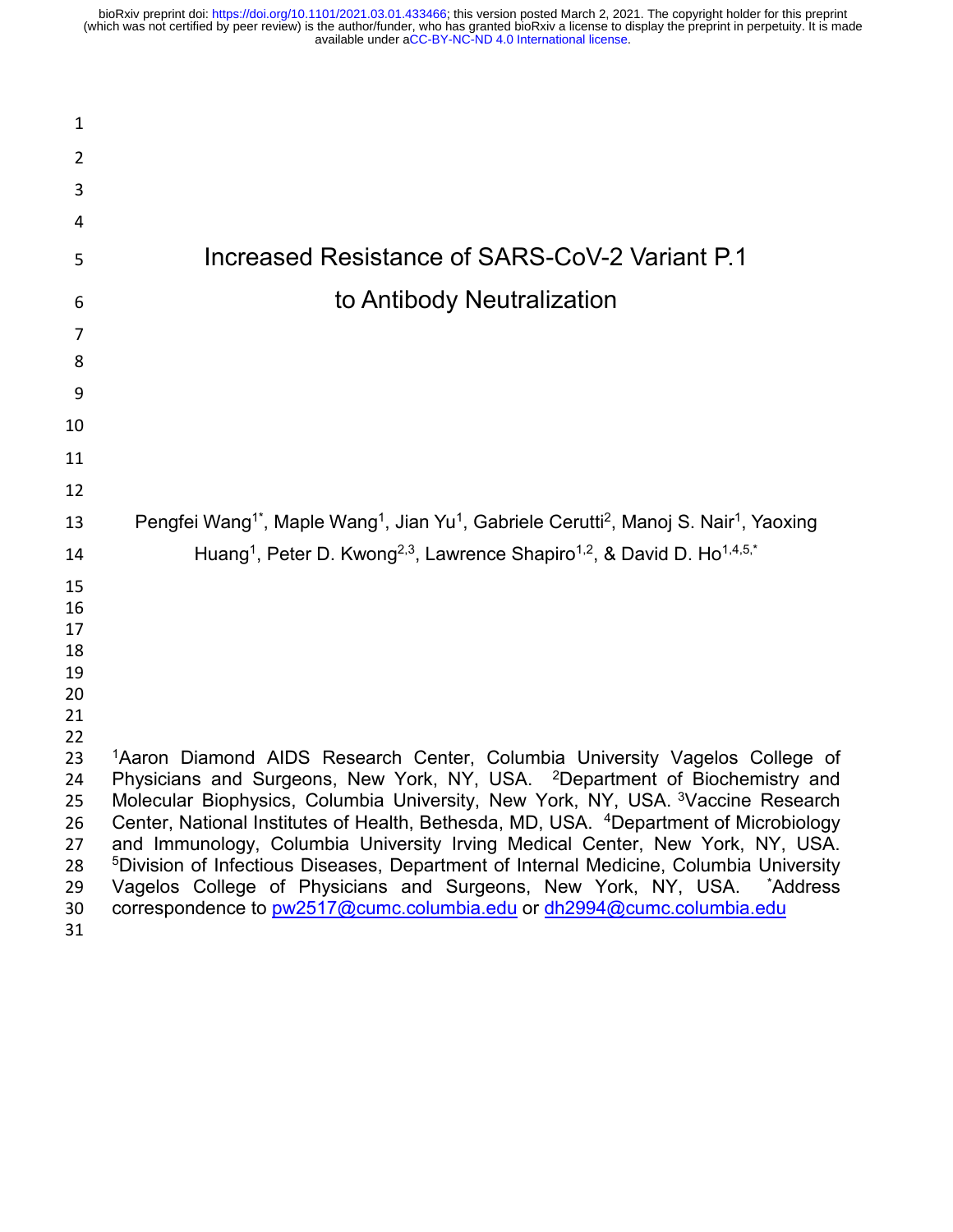| 1        |                                                                                                                                                                        |
|----------|------------------------------------------------------------------------------------------------------------------------------------------------------------------------|
| 2        |                                                                                                                                                                        |
| 3        |                                                                                                                                                                        |
| 4        |                                                                                                                                                                        |
| 5        | Increased Resistance of SARS-CoV-2 Variant P.1                                                                                                                         |
| 6        | to Antibody Neutralization                                                                                                                                             |
|          |                                                                                                                                                                        |
| 7<br>8   |                                                                                                                                                                        |
|          |                                                                                                                                                                        |
| 9        |                                                                                                                                                                        |
| 10       |                                                                                                                                                                        |
| 11       |                                                                                                                                                                        |
| 12       |                                                                                                                                                                        |
| 13       | Pengfei Wang <sup>1*</sup> , Maple Wang <sup>1</sup> , Jian Yu <sup>1</sup> , Gabriele Cerutti <sup>2</sup> , Manoj S. Nair <sup>1</sup> , Yaoxing                     |
| 14       | Huang <sup>1</sup> , Peter D. Kwong <sup>2,3</sup> , Lawrence Shapiro <sup>1,2</sup> , & David D. Ho <sup>1,4,5,*</sup>                                                |
| 15       |                                                                                                                                                                        |
| 16       |                                                                                                                                                                        |
| 17<br>18 |                                                                                                                                                                        |
| 19       |                                                                                                                                                                        |
| 20       |                                                                                                                                                                        |
| 21       |                                                                                                                                                                        |
| 22       |                                                                                                                                                                        |
| 23       | <sup>1</sup> Aaron Diamond AIDS Research Center, Columbia University Vagelos College of                                                                                |
| 24       | Physicians and Surgeons, New York, NY, USA. <sup>2</sup> Department of Biochemistry and                                                                                |
| 25       | Molecular Biophysics, Columbia University, New York, NY, USA. <sup>3</sup> Vaccine Research                                                                            |
| 26<br>27 | Center, National Institutes of Health, Bethesda, MD, USA. 4Department of Microbiology<br>and Immunology, Columbia University Irving Medical Center, New York, NY, USA. |
| 28       | <sup>5</sup> Division of Infectious Diseases, Department of Internal Medicine, Columbia University                                                                     |
| 29       | Vagelos College of Physicians and Surgeons, New York, NY, USA. *Address                                                                                                |
| 30       | correspondence to pw2517@cumc.columbia.edu or dh2994@cumc.columbia.edu                                                                                                 |
| 31       |                                                                                                                                                                        |
|          |                                                                                                                                                                        |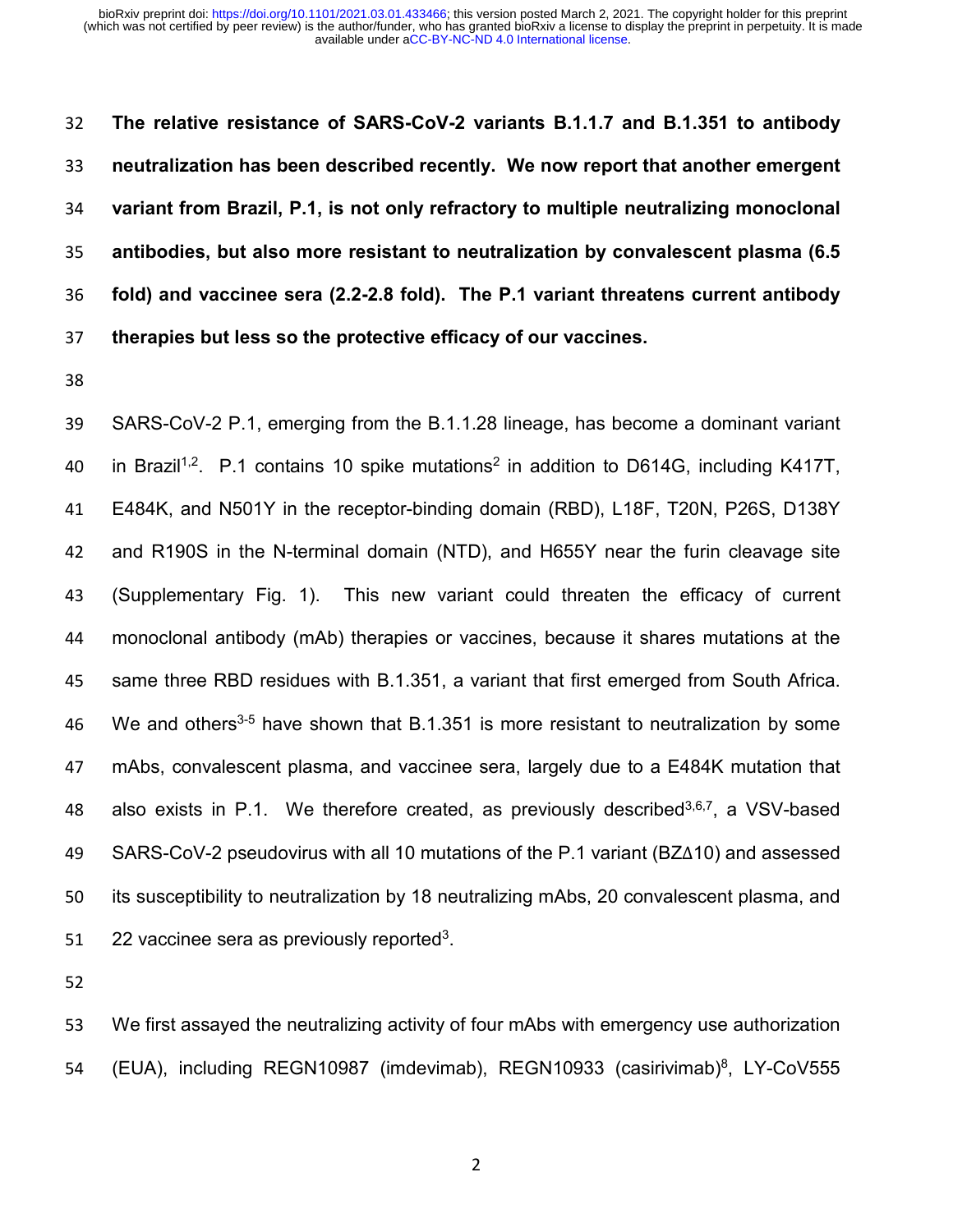**The relative resistance of SARS-CoV-2 variants B.1.1.7 and B.1.351 to antibody neutralization has been described recently. We now report that another emergent variant from Brazil, P.1, is not only refractory to multiple neutralizing monoclonal antibodies, but also more resistant to neutralization by convalescent plasma (6.5 fold) and vaccinee sera (2.2-2.8 fold). The P.1 variant threatens current antibody therapies but less so the protective efficacy of our vaccines.** 

 SARS-CoV-2 P.1, emerging from the B.1.1.28 lineage, has become a dominant variant 40 in Brazil<sup>1,2</sup>. P.1 contains 10 spike mutations<sup>2</sup> in addition to D614G, including K417T, E484K, and N501Y in the receptor-binding domain (RBD), L18F, T20N, P26S, D138Y and R190S in the N-terminal domain (NTD), and H655Y near the furin cleavage site (Supplementary Fig. 1). This new variant could threaten the efficacy of current monoclonal antibody (mAb) therapies or vaccines, because it shares mutations at the same three RBD residues with B.1.351, a variant that first emerged from South Africa. 46 We and others<sup>3-5</sup> have shown that B.1.351 is more resistant to neutralization by some mAbs, convalescent plasma, and vaccinee sera, largely due to a E484K mutation that 48 also exists in P.1. We therefore created, as previously described<sup>3,6,7</sup>, a VSV-based SARS-CoV-2 pseudovirus with all 10 mutations of the P.1 variant (BZ∆10) and assessed its susceptibility to neutralization by 18 neutralizing mAbs, 20 convalescent plasma, and 51 . 22 vaccinee sera as previously reported<sup>3</sup>.

 We first assayed the neutralizing activity of four mAbs with emergency use authorization 54 (EUA), including REGN10987 (imdevimab), REGN10933 (casirivimab)<sup>8</sup>, LY-CoV555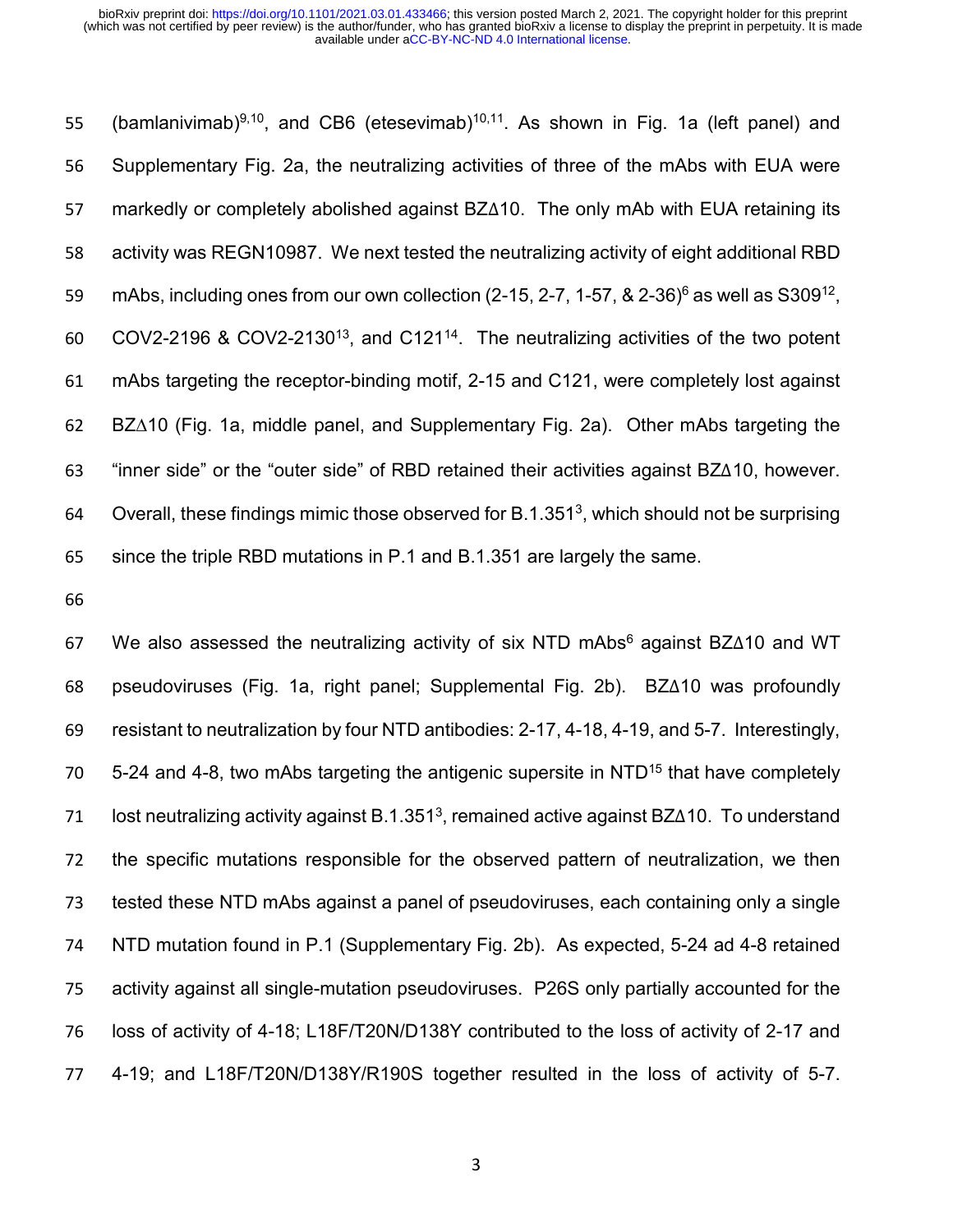55 (bamlanivimab)<sup>9,10</sup>, and CB6 (etesevimab)<sup>10,11</sup>. As shown in Fig. 1a (left panel) and Supplementary Fig. 2a, the neutralizing activities of three of the mAbs with EUA were markedly or completely abolished against BZ∆10. The only mAb with EUA retaining its activity was REGN10987. We next tested the neutralizing activity of eight additional RBD 59 mAbs, including ones from our own collection (2-15, 2-7, 1-57,  $\&$  2-36) $\frac{6}{9}$  as well as S309<sup>12</sup>, 60 COV2-2196 & COV2-2130<sup>13</sup>, and C121<sup>14</sup>. The neutralizing activities of the two potent mAbs targeting the receptor-binding motif, 2-15 and C121, were completely lost against BZ∆10 (Fig. 1a, middle panel, and Supplementary Fig. 2a). Other mAbs targeting the "inner side" or the "outer side" of RBD retained their activities against BZ∆10, however. 64 Overall, these findings mimic those observed for B.1.351<sup>3</sup>, which should not be surprising since the triple RBD mutations in P.1 and B.1.351 are largely the same.

67 We also assessed the neutralizing activity of six NTD mAbs<sup>6</sup> against BZ∆10 and WT pseudoviruses (Fig. 1a, right panel; Supplemental Fig. 2b). BZ∆10 was profoundly resistant to neutralization by four NTD antibodies: 2-17, 4-18, 4-19, and 5-7. Interestingly,  $5-24$  and 4-8, two mAbs targeting the antigenic supersite in NTD<sup>15</sup> that have completely 71 lost neutralizing activity against B.1.351<sup>3</sup>, remained active against BZ∆10. To understand the specific mutations responsible for the observed pattern of neutralization, we then tested these NTD mAbs against a panel of pseudoviruses, each containing only a single NTD mutation found in P.1 (Supplementary Fig. 2b). As expected, 5-24 ad 4-8 retained activity against all single-mutation pseudoviruses. P26S only partially accounted for the loss of activity of 4-18; L18F/T20N/D138Y contributed to the loss of activity of 2-17 and 4-19; and L18F/T20N/D138Y/R190S together resulted in the loss of activity of 5-7.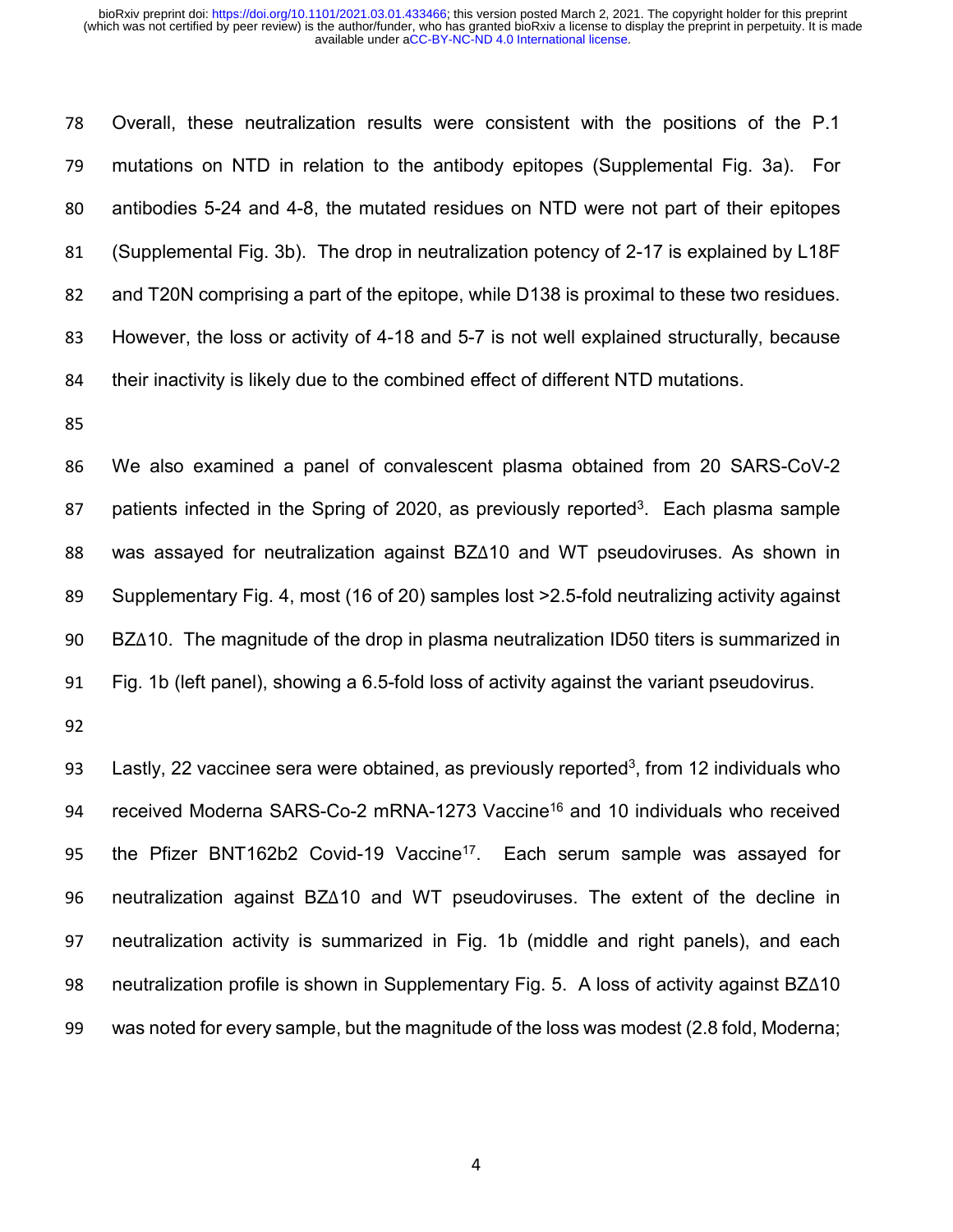Overall, these neutralization results were consistent with the positions of the P.1 mutations on NTD in relation to the antibody epitopes (Supplemental Fig. 3a). For antibodies 5-24 and 4-8, the mutated residues on NTD were not part of their epitopes (Supplemental Fig. 3b). The drop in neutralization potency of 2-17 is explained by L18F and T20N comprising a part of the epitope, while D138 is proximal to these two residues. However, the loss or activity of 4-18 and 5-7 is not well explained structurally, because their inactivity is likely due to the combined effect of different NTD mutations.

 We also examined a panel of convalescent plasma obtained from 20 SARS-CoV-2 87 batients infected in the Spring of 2020, as previously reported<sup>3</sup>. Each plasma sample was assayed for neutralization against BZ∆10 and WT pseudoviruses. As shown in Supplementary Fig. 4, most (16 of 20) samples lost >2.5-fold neutralizing activity against BZ∆10. The magnitude of the drop in plasma neutralization ID50 titers is summarized in Fig. 1b (left panel), showing a 6.5-fold loss of activity against the variant pseudovirus.

93 Lastly, 22 vaccinee sera were obtained, as previously reported<sup>3</sup>, from 12 individuals who 94 received Moderna SARS-Co-2 mRNA-1273 Vaccine<sup>16</sup> and 10 individuals who received 95 the Pfizer BNT162b2 Covid-19 Vaccine<sup>17</sup>. Each serum sample was assayed for neutralization against BZ∆10 and WT pseudoviruses. The extent of the decline in neutralization activity is summarized in Fig. 1b (middle and right panels), and each neutralization profile is shown in Supplementary Fig. 5. A loss of activity against BZ∆10 was noted for every sample, but the magnitude of the loss was modest (2.8 fold, Moderna;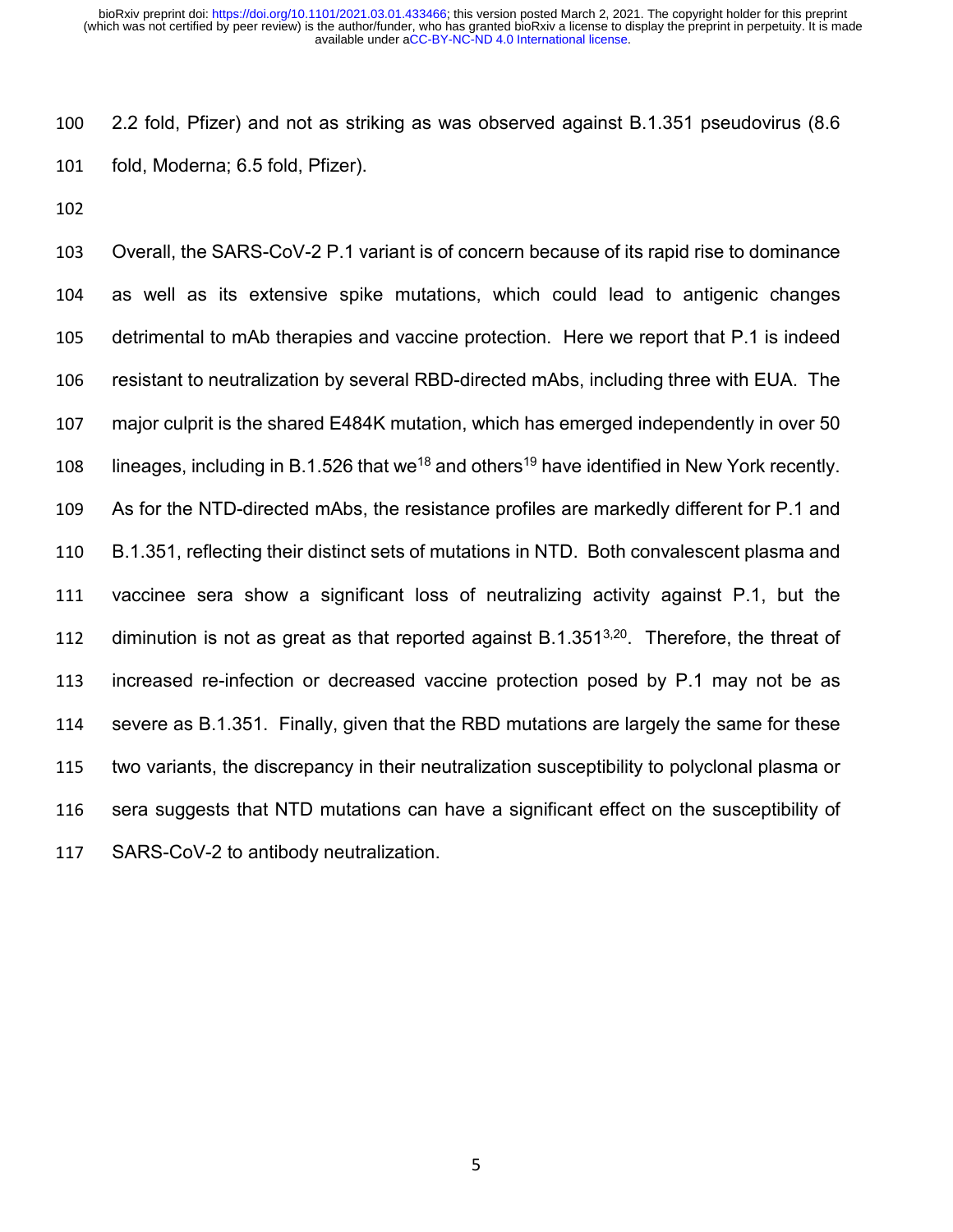2.2 fold, Pfizer) and not as striking as was observed against B.1.351 pseudovirus (8.6 fold, Moderna; 6.5 fold, Pfizer).

 Overall, the SARS-CoV-2 P.1 variant is of concern because of its rapid rise to dominance as well as its extensive spike mutations, which could lead to antigenic changes detrimental to mAb therapies and vaccine protection. Here we report that P.1 is indeed resistant to neutralization by several RBD-directed mAbs, including three with EUA. The major culprit is the shared E484K mutation, which has emerged independently in over 50 108 lineages, including in B.1.526 that we<sup>18</sup> and others<sup>19</sup> have identified in New York recently. As for the NTD-directed mAbs, the resistance profiles are markedly different for P.1 and B.1.351, reflecting their distinct sets of mutations in NTD. Both convalescent plasma and vaccinee sera show a significant loss of neutralizing activity against P.1, but the 112 diminution is not as great as that reported against B.1.351 $3,20$ . Therefore, the threat of increased re-infection or decreased vaccine protection posed by P.1 may not be as severe as B.1.351. Finally, given that the RBD mutations are largely the same for these two variants, the discrepancy in their neutralization susceptibility to polyclonal plasma or sera suggests that NTD mutations can have a significant effect on the susceptibility of SARS-CoV-2 to antibody neutralization.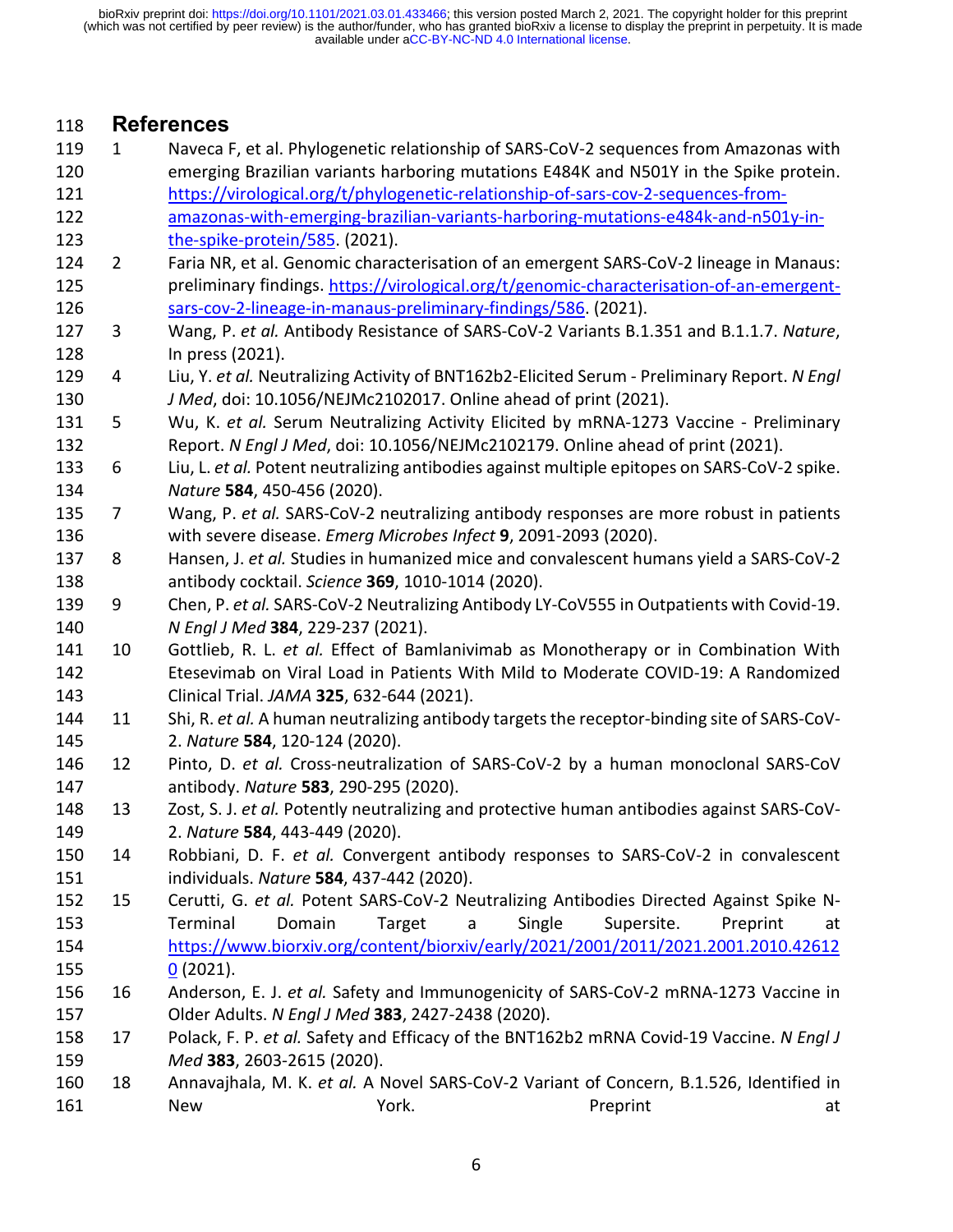119 1 Naveca F, et al. Phylogenetic relationship of SARS-CoV-2 sequences from Amazonas with

### **References**

 emerging Brazilian variants harboring mutations E484K and N501Y in the Spike protein. [https://virological.org/t/phylogenetic-relationship-of-sars-cov-2-sequences-from-](https://virological.org/t/phylogenetic-relationship-of-sars-cov-2-sequences-from-amazonas-with-emerging-brazilian-variants-harboring-mutations-e484k-and-n501y-in-the-spike-protein/585) [amazonas-with-emerging-brazilian-variants-harboring-mutations-e484k-and-n501y-in-](https://virological.org/t/phylogenetic-relationship-of-sars-cov-2-sequences-from-amazonas-with-emerging-brazilian-variants-harboring-mutations-e484k-and-n501y-in-the-spike-protein/585) [the-spike-protein/585.](https://virological.org/t/phylogenetic-relationship-of-sars-cov-2-sequences-from-amazonas-with-emerging-brazilian-variants-harboring-mutations-e484k-and-n501y-in-the-spike-protein/585) (2021). 2 Faria NR, et al. Genomic characterisation of an emergent SARS-CoV-2 lineage in Manaus: preliminary findings. [https://virological.org/t/genomic-characterisation-of-an-emergent-](https://virological.org/t/genomic-characterisation-of-an-emergent-sars-cov-2-lineage-in-manaus-preliminary-findings/586) [sars-cov-2-lineage-in-manaus-preliminary-findings/586.](https://virological.org/t/genomic-characterisation-of-an-emergent-sars-cov-2-lineage-in-manaus-preliminary-findings/586) (2021). 3 Wang, P. *et al.* Antibody Resistance of SARS-CoV-2 Variants B.1.351 and B.1.1.7. *Nature*, In press (2021). 4 Liu, Y. *et al.* Neutralizing Activity of BNT162b2-Elicited Serum - Preliminary Report. *N Engl J Med*, doi: 10.1056/NEJMc2102017. Online ahead of print (2021). 5 Wu, K. *et al.* Serum Neutralizing Activity Elicited by mRNA-1273 Vaccine - Preliminary Report. *N Engl J Med*, doi: 10.1056/NEJMc2102179. Online ahead of print (2021). 6 Liu, L. *et al.* Potent neutralizing antibodies against multiple epitopes on SARS-CoV-2 spike. *Nature* **584**, 450-456 (2020). 7 Wang, P. *et al.* SARS-CoV-2 neutralizing antibody responses are more robust in patients with severe disease. *Emerg Microbes Infect* **9**, 2091-2093 (2020). 8 Hansen, J. *et al.* Studies in humanized mice and convalescent humans yield a SARS-CoV-2 antibody cocktail. *Science* **369**, 1010-1014 (2020). 9 Chen, P. *et al.* SARS-CoV-2 Neutralizing Antibody LY-CoV555 in Outpatients with Covid-19. *N Engl J Med* **384**, 229-237 (2021). 10 Gottlieb, R. L. *et al.* Effect of Bamlanivimab as Monotherapy or in Combination With Etesevimab on Viral Load in Patients With Mild to Moderate COVID-19: A Randomized Clinical Trial. *JAMA* **325**, 632-644 (2021). 11 Shi, R. *et al.* A human neutralizing antibody targets the receptor-binding site of SARS-CoV- 2. *Nature* **584**, 120-124 (2020). 12 Pinto, D. *et al.* Cross-neutralization of SARS-CoV-2 by a human monoclonal SARS-CoV antibody. *Nature* **583**, 290-295 (2020). 13 Zost, S. J. *et al.* Potently neutralizing and protective human antibodies against SARS-CoV- 2. *Nature* **584**, 443-449 (2020). 14 Robbiani, D. F. *et al.* Convergent antibody responses to SARS-CoV-2 in convalescent individuals. *Nature* **584**, 437-442 (2020). 15 Cerutti, G. *et al.* Potent SARS-CoV-2 Neutralizing Antibodies Directed Against Spike N- Terminal Domain Target a Single Supersite. Preprint at [https://www.biorxiv.org/content/biorxiv/early/2021/2001/2011/2021.2001.2010.42612](https://www.biorxiv.org/content/biorxiv/early/2021/2001/2011/2021.2001.2010.426120) [0](https://www.biorxiv.org/content/biorxiv/early/2021/2001/2011/2021.2001.2010.426120) (2021). 16 Anderson, E. J. *et al.* Safety and Immunogenicity of SARS-CoV-2 mRNA-1273 Vaccine in Older Adults. *N Engl J Med* **383**, 2427-2438 (2020). 17 Polack, F. P. *et al.* Safety and Efficacy of the BNT162b2 mRNA Covid-19 Vaccine. *N Engl J Med* **383**, 2603-2615 (2020). 18 Annavajhala, M. K. *et al.* A Novel SARS-CoV-2 Variant of Concern, B.1.526, Identified in 161 New York. Preprint at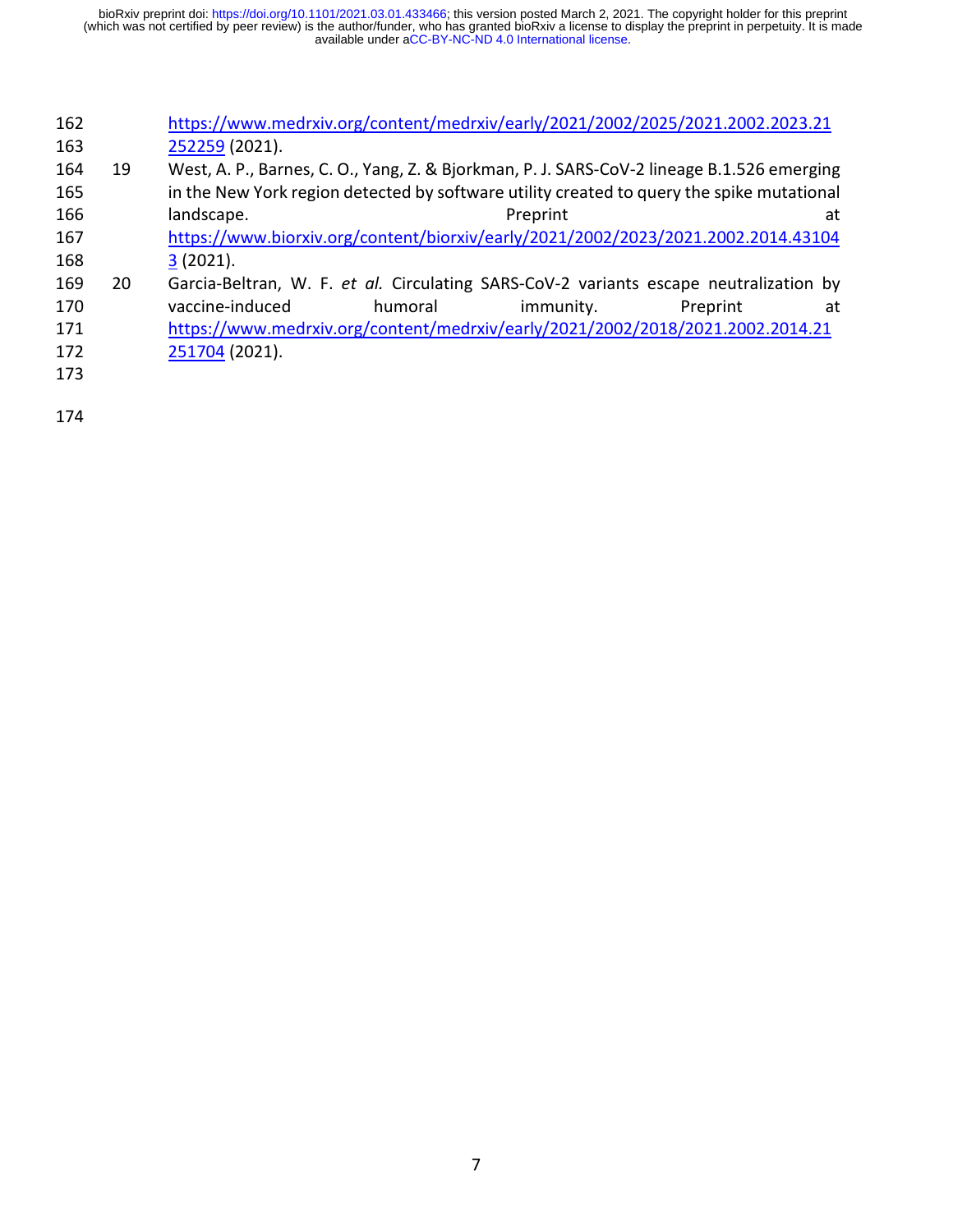| 162 |                                                                                | https://www.medrxiv.org/content/medrxiv/early/2021/2002/2025/2021.2002.2023.21             |           |          |    |  |  |
|-----|--------------------------------------------------------------------------------|--------------------------------------------------------------------------------------------|-----------|----------|----|--|--|
| 163 |                                                                                | 252259 (2021).                                                                             |           |          |    |  |  |
| 164 | 19                                                                             | West, A. P., Barnes, C. O., Yang, Z. & Bjorkman, P. J. SARS-CoV-2 lineage B.1.526 emerging |           |          |    |  |  |
| 165 |                                                                                | in the New York region detected by software utility created to query the spike mutational  |           |          |    |  |  |
| 166 |                                                                                | landscape.                                                                                 | Preprint  |          | at |  |  |
| 167 |                                                                                | https://www.biorxiv.org/content/biorxiv/early/2021/2002/2023/2021.2002.2014.43104          |           |          |    |  |  |
| 168 |                                                                                | 3(2021).                                                                                   |           |          |    |  |  |
| 169 | 20                                                                             | Garcia-Beltran, W. F. et al. Circulating SARS-CoV-2 variants escape neutralization by      |           |          |    |  |  |
| 170 |                                                                                | vaccine-induced<br>humoral                                                                 | immunity. | Preprint | at |  |  |
| 171 | https://www.medrxiv.org/content/medrxiv/early/2021/2002/2018/2021.2002.2014.21 |                                                                                            |           |          |    |  |  |
| 172 |                                                                                | 251704 (2021).                                                                             |           |          |    |  |  |
| 173 |                                                                                |                                                                                            |           |          |    |  |  |
|     |                                                                                |                                                                                            |           |          |    |  |  |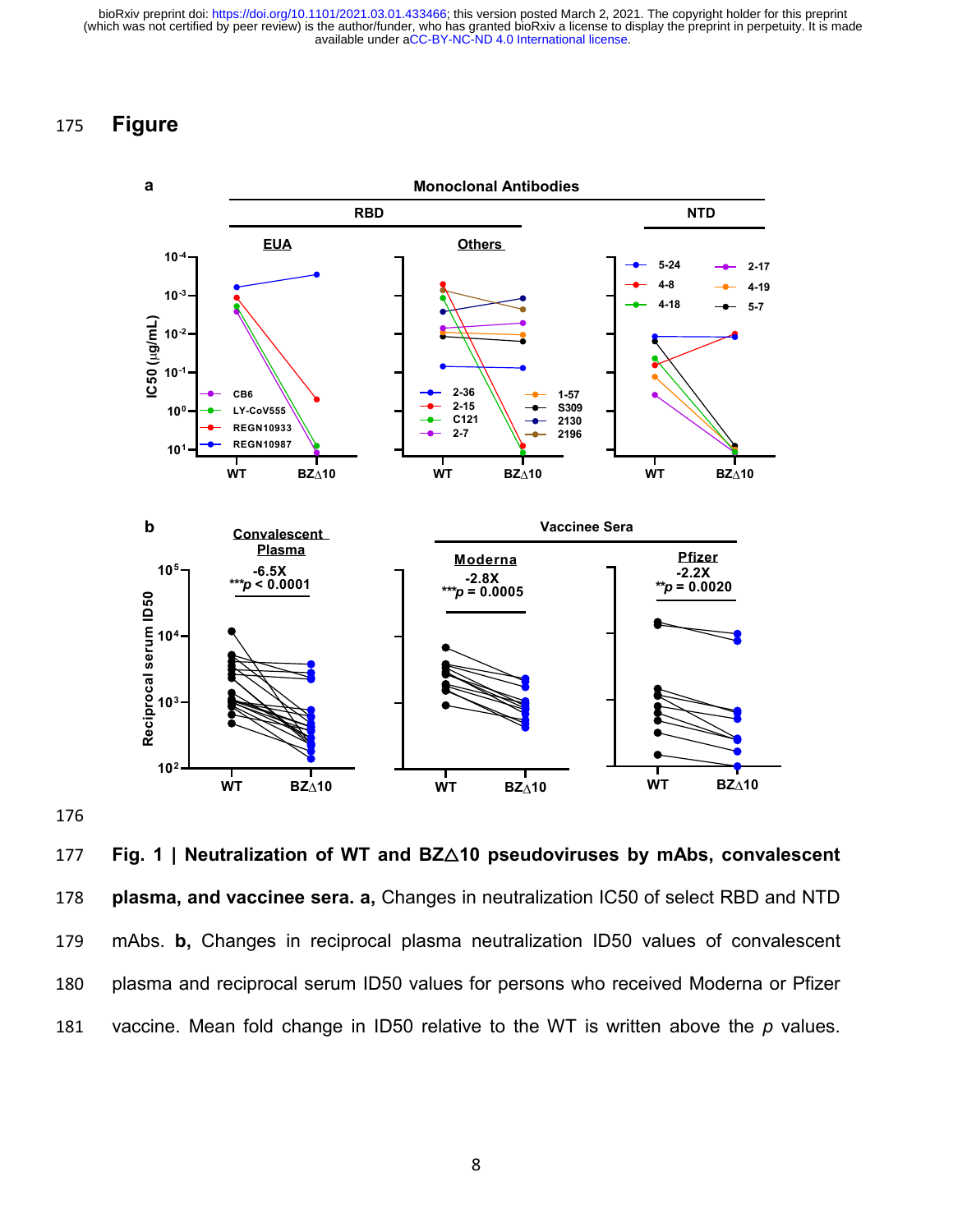# 175 **Figure**



177 **Fig. 1 | Neutralization of WT and BZ**△**10 pseudoviruses by mAbs, convalescent**  178 **plasma, and vaccinee sera. a,** Changes in neutralization IC50 of select RBD and NTD 179 mAbs. **b,** Changes in reciprocal plasma neutralization ID50 values of convalescent 180 plasma and reciprocal serum ID50 values for persons who received Moderna or Pfizer 181 vaccine. Mean fold change in ID50 relative to the WT is written above the *p* values.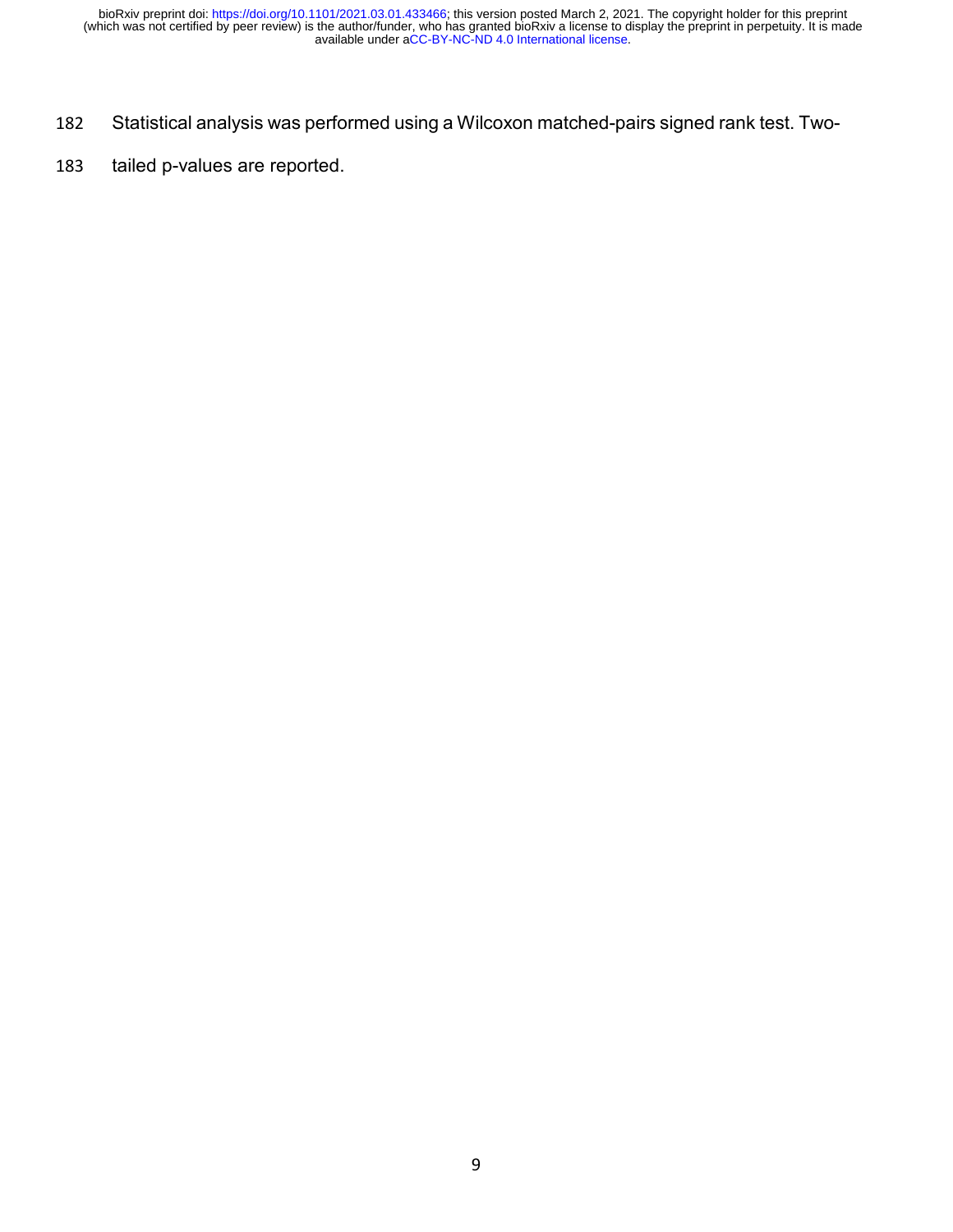- 182 Statistical analysis was performed using a Wilcoxon matched-pairs signed rank test. Two-
- 183 tailed p-values are reported.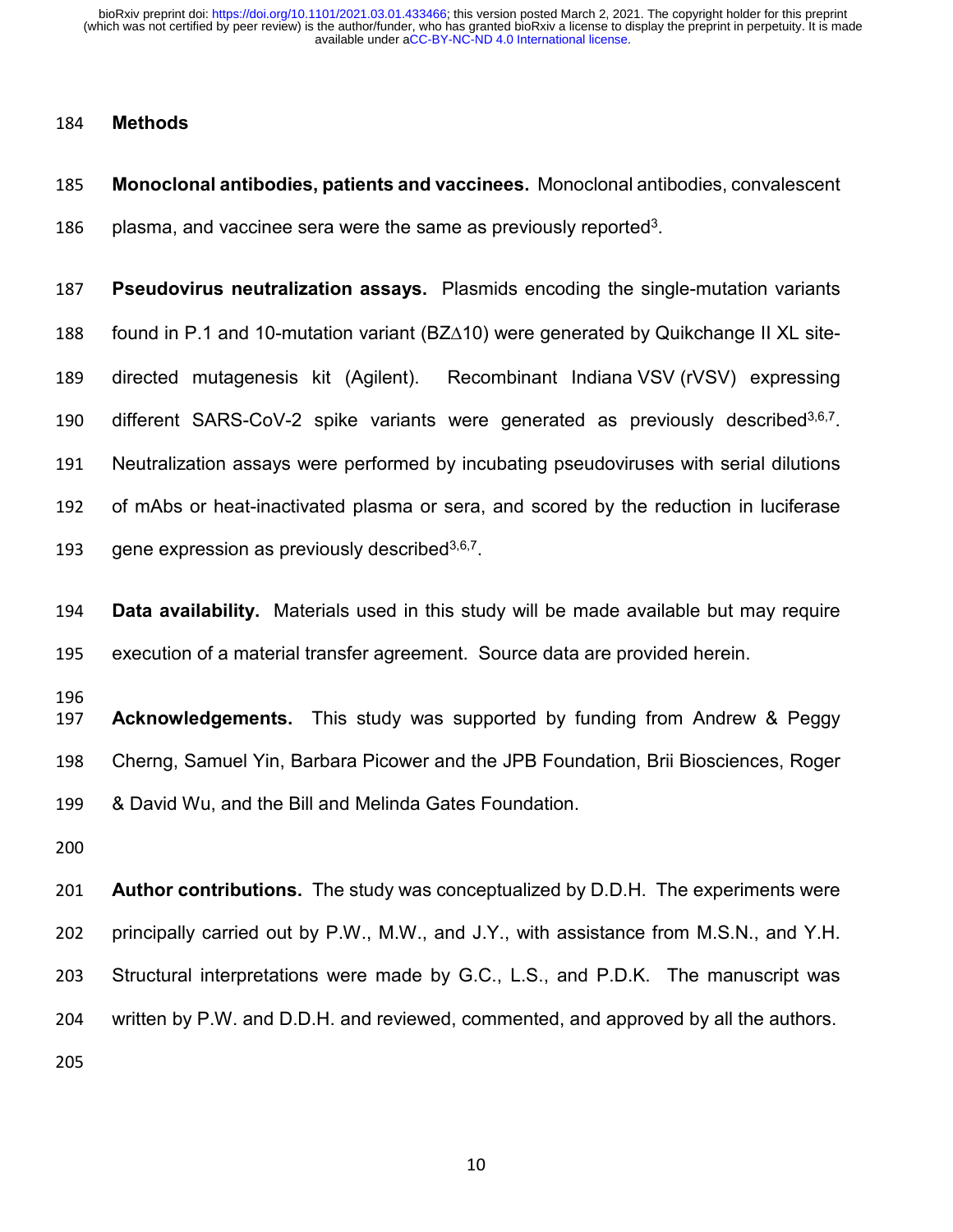#### **Methods**

 **Monoclonal antibodies, patients and vaccinees.** Monoclonal antibodies, convalescent 186 plasma, and vaccinee sera were the same as previously reported<sup>3</sup>.

 **Pseudovirus neutralization assays.** Plasmids encoding the single-mutation variants found in P.1 and 10-mutation variant (BZ∆10) were generated by Quikchange II XL site- directed mutagenesis kit (Agilent). Recombinant Indiana [VSV](https://www.sciencedirect.com/topics/biochemistry-genetics-and-molecular-biology/vesiculovirus) (rVSV) expressing 190 different SARS-CoV-2 spike variants were generated as previously described<sup>3,6,7</sup>. Neutralization assays were performed by incubating pseudoviruses with serial dilutions of mAbs or heat-inactivated plasma or sera, and scored by the reduction in luciferase 193 gene expression as previously described  $3,6,7$ .

 **Data availability.** Materials used in this study will be made available but may require execution of a material transfer agreement. Source data are provided herein.

 **Acknowledgements.** This study was supported by funding from Andrew & Peggy Cherng, Samuel Yin, Barbara Picower and the JPB Foundation, Brii Biosciences, Roger & David Wu, and the Bill and Melinda Gates Foundation.

 **Author contributions.** The study was conceptualized by D.D.H. The experiments were principally carried out by P.W., M.W., and J.Y., with assistance from M.S.N., and Y.H. Structural interpretations were made by G.C., L.S., and P.D.K. The manuscript was written by P.W. and D.D.H. and reviewed, commented, and approved by all the authors.